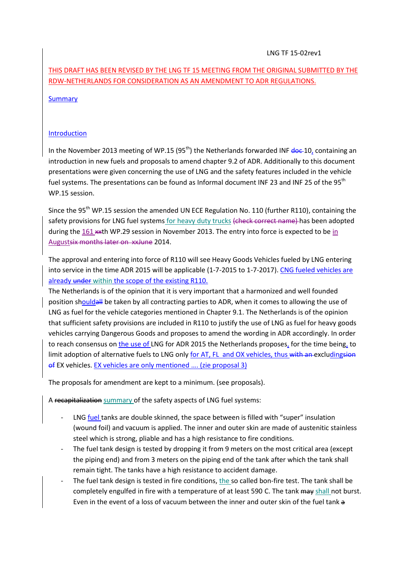## LNG TF 15-02rev1

# THIS DRAFT HAS BEEN REVISED BY THE LNG TF 15 MEETING FROM THE ORIGINAL SUBMITTED BY THE RDW-NETHERLANDS FOR CONSIDERATION AS AN AMENDMENT TO ADR REGULATIONS.

## **Summary**

## Introduction

In the November 2013 meeting of WP.15 (95<sup>th</sup>) the Netherlands forwarded INF  $\frac{d}{d}$ containing an introduction in new fuels and proposals to amend chapter 9.2 of ADR. Additionally to this document presentations were given concerning the use of LNG and the safety features included in the vehicle fuel systems. The presentations can be found as Informal document INF 23 and INF 25 of the 95<sup>th</sup> WP.15 session.

Since the 95<sup>th</sup> WP.15 session the amended UN ECE Regulation No. 110 (further R110), containing the safety provisions for LNG fuel systems for heavy duty trucks (check correct name) has been adopted during the 161  $**$ th WP.29 session in November 2013. The entry into force is expected to be in Augustsix months later on xxJune 2014.

The approval and entering into force of R110 will see Heavy Goods Vehicles fueled by LNG entering into service in the time ADR 2015 will be applicable (1-7-2015 to 1-7-2017). CNG fueled vehicles are already under within the scope of the existing R110.

The Netherlands is of the opinion that it is very important that a harmonized and well founded position shouldall be taken by all contracting parties to ADR, when it comes to allowing the use of LNG as fuel for the vehicle categories mentioned in Chapter 9.1. The Netherlands is of the opinion that sufficient safety provisions are included in R110 to justify the use of LNG as fuel for heavy goods vehicles carrying Dangerous Goods and proposes to amend the wording in ADR accordingly. In order to reach consensus on the use of LNG for ADR 2015 the Netherlands proposes, for the time being, to limit adoption of alternative fuels to LNG only for AT, FL and OX vehicles, thus with an excluding sion of EX vehicles. EX vehicles are only mentioned …. (zie proposal 3)

The proposals for amendment are kept to a minimum. (see proposals).

A recapitalization summary of the safety aspects of LNG fuel systems:

- LNG fuel tanks are double skinned, the space between is filled with "super" insulation (wound foil) and vacuum is applied. The inner and outer skin are made of austenitic stainless steel which is strong, pliable and has a high resistance to fire conditions.
- The fuel tank design is tested by dropping it from 9 meters on the most critical area (except the piping end) and from 3 meters on the piping end of the tank after which the tank shall remain tight. The tanks have a high resistance to accident damage.
- The fuel tank design is tested in fire conditions, the so called bon-fire test. The tank shall be completely engulfed in fire with a temperature of at least 590 C. The tank may shall not burst. Even in the event of a loss of vacuum between the inner and outer skin of the fuel tank a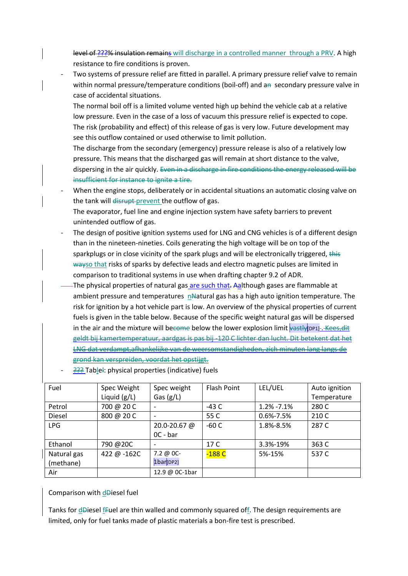level of ???% insulation remains will discharge in a controlled manner through a PRV. A high resistance to fire conditions is proven.

Two systems of pressure relief are fitted in parallel. A primary pressure relief valve to remain within normal pressure/temperature conditions (boil-off) and an secondary pressure valve in case of accidental situations.

The normal boil off is a limited volume vented high up behind the vehicle cab at a relative low pressure. Even in the case of a loss of vacuum this pressure relief is expected to cope. The risk (probability and effect) of this release of gas is very low. Future development may see this outflow contained or used otherwise to limit pollution.

The discharge from the secondary (emergency) pressure release is also of a relatively low pressure. This means that the discharged gas will remain at short distance to the valve, dispersing in the air quickly. Even in a discharge in fire conditions the energy released will be insufficient for instance to ignite a tire.

When the engine stops, deliberately or in accidental situations an automatic closing valve on the tank will disrupt prevent the outflow of gas.

The evaporator, fuel line and engine injection system have safety barriers to prevent unintended outflow of gas.

- The design of positive ignition systems used for LNG and CNG vehicles is of a different design than in the nineteen-nineties. Coils generating the high voltage will be on top of the sparkplugs or in close vicinity of the spark plugs and will be electronically triggered, this wayso that risks of sparks by defective leads and electro magnetic pulses are limited in comparison to traditional systems in use when drafting chapter 9.2 of ADR.
- The physical properties of natural gas are such that. Aalthough gases are flammable at ambient pressure and temperatures n<sub>N</sub>atural gas has a high auto ignition temperature. The risk for ignition by a hot vehicle part is low. An overview of the physical properties of current fuels is given in the table below. Because of the specific weight natural gas will be dispersed in the air and the mixture will become below the lower explosion limit  $\sqrt{q}$  ast  $\sqrt{q}$  pp1]. Kees, dit geldt bij kamertemperatuur, aardgas is pas bij -120 C lichter dan lucht. Dit betekent dat het LNG dat verdampt,afhankelijke van de weersomstandigheden, zich minuten lang langs de grond kan verspreiden, voordat het opstijgt.
- ??? Tablel: physical properties (indicative) fuels

| Fuel          | Spec Weight    | Spec weight           | Flash Point | LEL/UEL         | Auto ignition |
|---------------|----------------|-----------------------|-------------|-----------------|---------------|
|               | Liquid $(g/L)$ | Gas $(g/L)$           |             |                 | Temperature   |
| Petrol        | 700 @ 20 C     |                       | $-43C$      | $1.2\% -7.1\%$  | 280 C         |
| <b>Diesel</b> | 800 @ 20 C     |                       | 55 C        | $0.6\% - 7.5\%$ | 210 C         |
| <b>LPG</b>    |                | 20.0-20.67 @          | $-60C$      | 1.8%-8.5%       | 287 C         |
|               |                | OC - bar              |             |                 |               |
| Ethanol       | 790 @20C       |                       | 17 C        | 3.3%-19%        | 363 C         |
| Natural gas   | 422 @ -162C    | $7.2 \omega 0C$ -     | $-188C$     | 5%-15%          | 537 C         |
| (methane)     |                | 1bar <sub>[DP2]</sub> |             |                 |               |
| Air           |                | 12.9 @ 0C-1bar        |             |                 |               |

## Comparison with dDiesel fuel

Tanks for dDiesel fFuel are thin walled and commonly squared off. The design requirements are limited, only for fuel tanks made of plastic materials a bon-fire test is prescribed.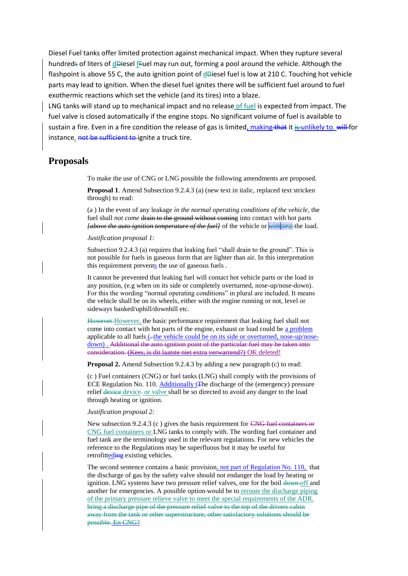Diesel Fuel tanks offer limited protection against mechanical impact. When they rupture several hundreds of liters of dDiesel fFuel may run out, forming a pool around the vehicle. Although the flashpoint is above 55 C, the auto ignition point of  $d\theta$ iesel fuel is low at 210 C. Touching hot vehicle parts may lead to ignition. When the diesel fuel ignites there will be sufficient fuel around to fuel exothermic reactions which set the vehicle (and its tires) into a blaze.

LNG tanks will stand up to mechanical impact and no release of fuel is expected from impact. The fuel valve is closed automatically if the engine stops. No significant volume of fuel is available to sustain a fire. Even in a fire condition the release of gas is limited, making that it is unlikely to, will for instance, not be sufficient to ignite a truck tire.

## **Proposals**

To make the use of CNG or LNG possible the following amendments are proposed.

**Proposal 1**. Amend Subsection 9.2.4.3 (a) (new text in italic, replaced text stricken through) to read:

(a ) In the event of any leakage *in the normal operating conditions of the vehicle*, the fuel shall *not come* drain to the ground without coming into contact with hot parts *fabove the auto ignition temperature of the fuell* of the vehicle or *with*[DP3] the load.

*Justification proposal 1:*

Subsection 9.2.4.3 (a) requires that leaking fuel "shall drain to the ground". This is not possible for fuels in gaseous form that are lighter than air. In this interpretation this requirement prevents the use of gaseous fuels.

It cannot be prevented that leaking fuel will contact hot vehicle parts or the load in any position, (e.g when on its side or completely overturned, nose-up/nose-down). For this the wording "normal operating conditions" in plural are included. It means the vehicle shall be on its wheels, either with the engine running or not, level or sideways banked/uphill/downhill etc.

However However, the basic performance requirement that leaking fuel shall not come into contact with hot parts of the engine, exhaust or load could be a problem applicable to all fuels  $\left(-\text{the vehicle could be on its side or overturred, nose-up}/\text{nose-}$ down). Additional the auto ignition point of the particular fuel may be taken into sideration. (Kees, is dit laatste niet extra verwarrend?) OK deleted!

**Proposal 2.** Amend Subsection 9.2.4.3 by adding a new paragraph (c) to read:

(c ) Fuel containers (CNG) or fuel tanks (LNG) shall comply with the provisions of ECE Regulation No. 110. Additionally t<sub>The</sub> discharge of the (emergency) pressure relief device device- or valve shall be so directed to avoid any danger to the load through heating or ignition.

#### *Justification proposal 2:*

New subsection 9.2.4.3 (c ) gives the basis requirement for CNG fuel containers or CNG fuel containers or LNG tanks to comply with. The wording fuel container and fuel tank are the terminology used in the relevant regulations. For new vehicles the reference to the Regulations may be superfluous but it may be useful for retrofitteding existing vehicles.

The second sentence contains a basic provision, not part of Regulation No. 110, that the discharge of gas by the safety valve should not endanger the load by heating or ignition. LNG systems have two pressure relief valves, one for the boil down off and another for emergencies. A possible option would be to reroute the discharge piping of the primary pressure relieve valve to meet the special requirements of the ADR. bring a discharge pipe of the pressure relief valve to the top of the drivers cabin away from the tank or other superstructure, other satisfactory solutions should be possible. En CNG?